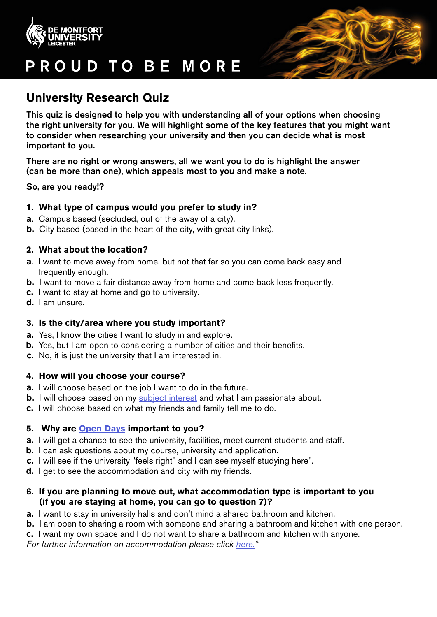



# ROUD TO BE MORE

# **University Research Quiz**

This quiz is designed to help you with understanding all of your options when choosing<br>the right university for you. We will highlight some of the key features that you might want<br>to consider when researching your universi important to you.

 There are no right or wrong answers, all we want you to do is highlight the answer (can be more than one), which appeals most to you and make a note.

So, are you ready!?

# **1. What type of campus would you prefer to study in?**

- **a**. Campus based (secluded, out of the away of a city).
- **b.** City based (based in the heart of the city, with great city links).

# **2. What about the location?**

- **a**. I want to move away from home, but not that far so you can come back easy and frequently enough.
- **b.** I want to move a fair distance away from home and come back less frequently.
- **c.** I want to stay at home and go to university.
- **d.** I am unsure.

# **3. Is the city/area where you study important?**

- **a.** Yes, I know the cities I want to study in and explore.
- **b.** Yes, but I am open to considering a number of cities and their benefits.
- **c.** No, it is just the university that I am interested in.

# **4. How will you choose your course?**

- **a.** I will choose based on the job I want to do in the future.
- **b.** I will choose based on my [subject interest](https://www.dmu.ac.uk/study/courses/undergraduate-courses/undergraduate-courses.aspx) and what I am passionate about.
- **c.** I will choose based on what my friends and family tell me to do.

# **5. Why are [Open Days](https://www.dmu.ac.uk/study/undergraduate-study/open-days/open-days.aspx) important to you?**

- **a.** I will get a chance to see the university, facilities, meet current students and staff.
- **b.** I can ask questions about my course, university and application.
- **c.** I will see if the university "feels right" and I can see myself studying here".
- **d.** I get to see the accommodation and city with my friends.
- **6. If you are planning to move out, what accommodation type is important to you (if you are staying at home, you can go to question 7)?**
- **a.** I want to stay in university halls and don't mind a shared bathroom and kitchen.
- **b.** I am open to sharing a room with someone and sharing a bathroom and kitchen with one person.
- **c.** I want my own space and I do not want to share a bathroom and kitchen with anyone.

*For further information on accommodation please click [here.](https://www.dmu.ac.uk/study/accommodation/index.aspx)\**